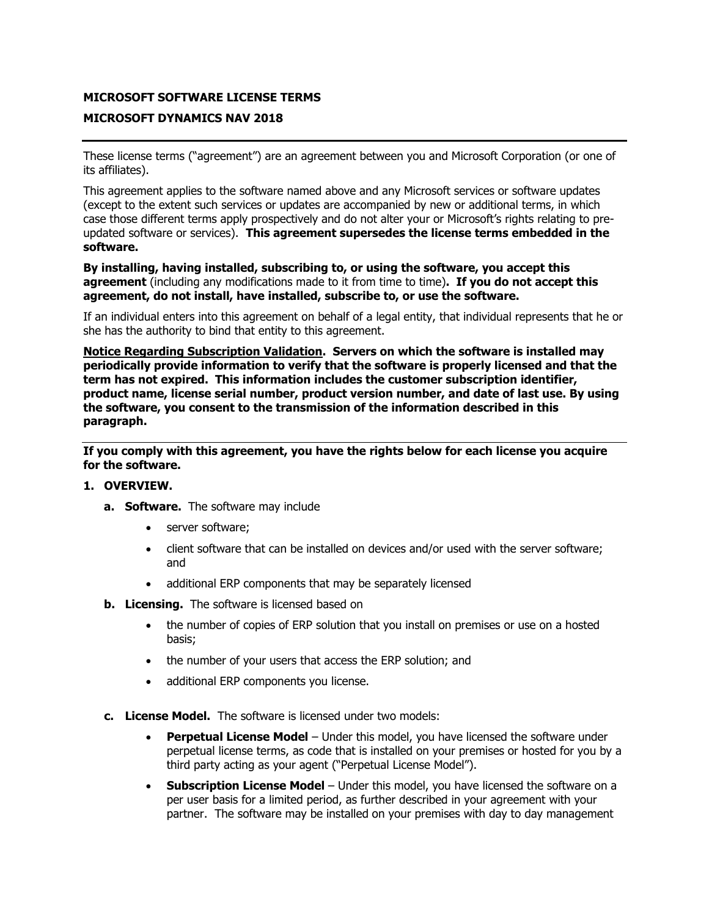#### **MICROSOFT SOFTWARE LICENSE TERMS**

# **MICROSOFT DYNAMICS NAV 2018**

These license terms ("agreement") are an agreement between you and Microsoft Corporation (or one of its affiliates).

This agreement applies to the software named above and any Microsoft services or software updates (except to the extent such services or updates are accompanied by new or additional terms, in which case those different terms apply prospectively and do not alter your or Microsoft's rights relating to preupdated software or services). **This agreement supersedes the license terms embedded in the software.**

**By installing, having installed, subscribing to, or using the software, you accept this agreement** (including any modifications made to it from time to time)**. If you do not accept this agreement, do not install, have installed, subscribe to, or use the software.** 

If an individual enters into this agreement on behalf of a legal entity, that individual represents that he or she has the authority to bind that entity to this agreement.

**Notice Regarding Subscription Validation. Servers on which the software is installed may periodically provide information to verify that the software is properly licensed and that the term has not expired. This information includes the customer subscription identifier, product name, license serial number, product version number, and date of last use. By using the software, you consent to the transmission of the information described in this paragraph.**

**If you comply with this agreement, you have the rights below for each license you acquire for the software.**

#### **1. OVERVIEW.**

- **a. Software.** The software may include
	- server software;
	- client software that can be installed on devices and/or used with the server software; and
	- additional ERP components that may be separately licensed
- **b. Licensing.** The software is licensed based on
	- the number of copies of ERP solution that you install on premises or use on a hosted basis;
	- the number of your users that access the ERP solution; and
	- additional ERP components you license.
- **c. License Model.** The software is licensed under two models:
	- **Perpetual License Model** Under this model, you have licensed the software under perpetual license terms, as code that is installed on your premises or hosted for you by a third party acting as your agent ("Perpetual License Model").
	- **Subscription License Model**  Under this model, you have licensed the software on a per user basis for a limited period, as further described in your agreement with your partner. The software may be installed on your premises with day to day management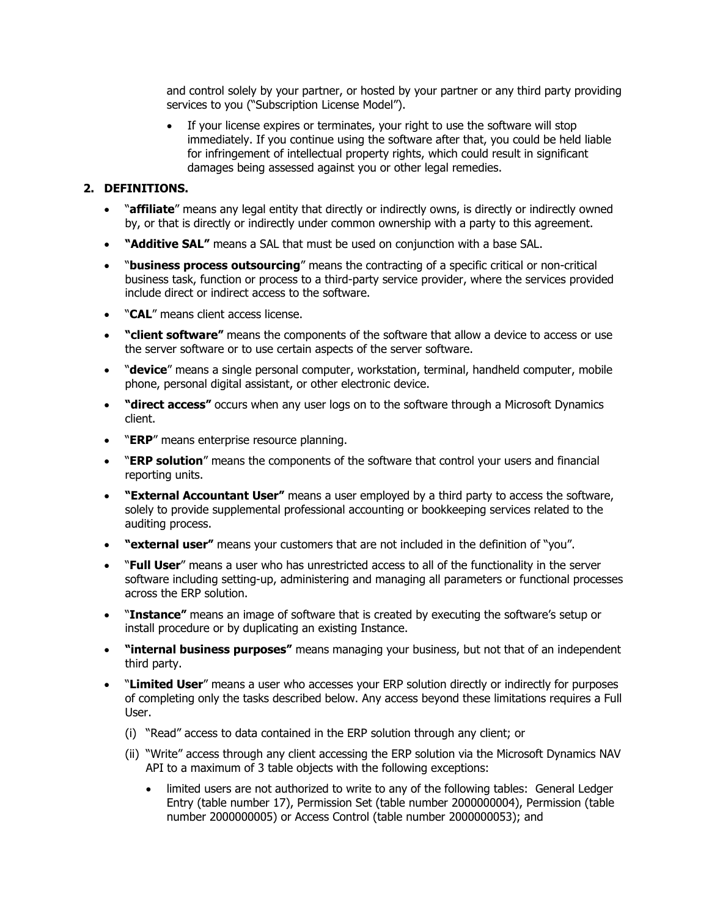and control solely by your partner, or hosted by your partner or any third party providing services to you ("Subscription License Model").

• If your license expires or terminates, your right to use the software will stop immediately. If you continue using the software after that, you could be held liable for infringement of intellectual property rights, which could result in significant damages being assessed against you or other legal remedies.

# **2. DEFINITIONS.**

- "**affiliate**" means any legal entity that directly or indirectly owns, is directly or indirectly owned by, or that is directly or indirectly under common ownership with a party to this agreement.
- **"Additive SAL"** means a SAL that must be used on conjunction with a base SAL.
- "**business process outsourcing**" means the contracting of a specific critical or non-critical business task, function or process to a third-party service provider, where the services provided include direct or indirect access to the software.
- "**CAL**" means client access license.
- **"client software"** means the components of the software that allow a device to access or use the server software or to use certain aspects of the server software.
- "**device**" means a single personal computer, workstation, terminal, handheld computer, mobile phone, personal digital assistant, or other electronic device.
- **"direct access"** occurs when any user logs on to the software through a Microsoft Dynamics client.
- "**ERP**" means enterprise resource planning.
- "**ERP solution**" means the components of the software that control your users and financial reporting units.
- **"External Accountant User"** means a user employed by a third party to access the software, solely to provide supplemental professional accounting or bookkeeping services related to the auditing process.
- **"external user"** means your customers that are not included in the definition of "you".
- "**Full User**" means a user who has unrestricted access to all of the functionality in the server software including setting-up, administering and managing all parameters or functional processes across the ERP solution.
- "**Instance"** means an image of software that is created by executing the software's setup or install procedure or by duplicating an existing Instance.
- **"internal business purposes"** means managing your business, but not that of an independent third party.
- "**Limited User**" means a user who accesses your ERP solution directly or indirectly for purposes of completing only the tasks described below. Any access beyond these limitations requires a Full User.
	- (i) "Read" access to data contained in the ERP solution through any client; or
	- (ii) "Write" access through any client accessing the ERP solution via the Microsoft Dynamics NAV API to a maximum of 3 table objects with the following exceptions:
		- limited users are not authorized to write to any of the following tables: General Ledger Entry (table number 17), Permission Set (table number 2000000004), Permission (table number 2000000005) or Access Control (table number 2000000053); and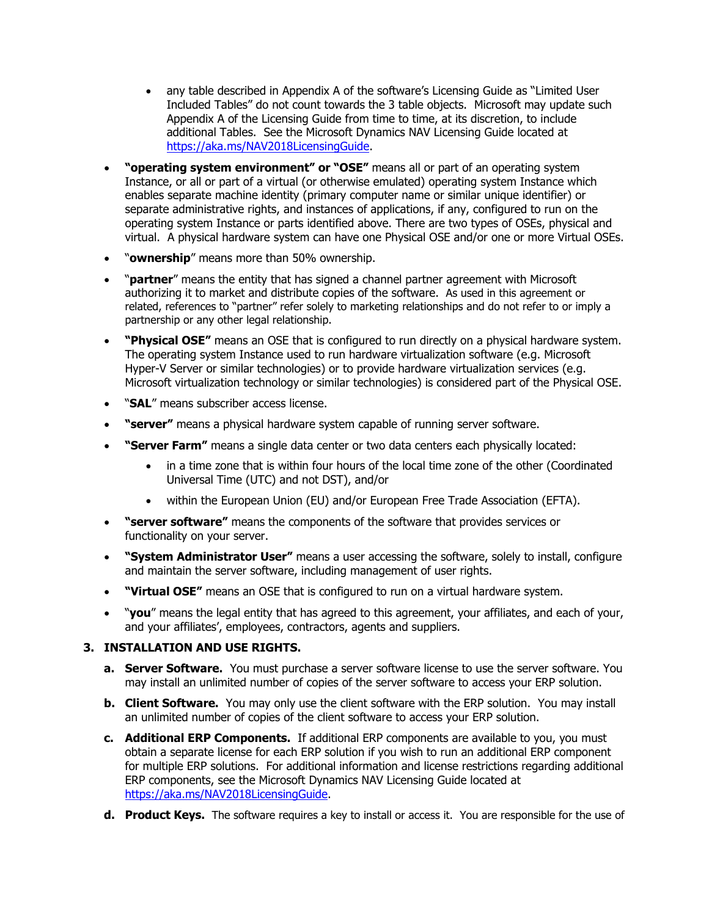- any table described in Appendix A of the software's Licensing Guide as "Limited User Included Tables" do not count towards the 3 table objects. Microsoft may update such Appendix A of the Licensing Guide from time to time, at its discretion, to include additional Tables. See the Microsoft Dynamics NAV Licensing Guide located at [https://aka.ms/NAV2018LicensingGuide.](https://mbs.microsoft.com/Files/partner/All_Products/PriceOrder/Licensing_Policies/MicrosoftDynamicsNAV2018LicensingGuide.pdf)
- **"operating system environment" or "OSE"** means all or part of an operating system Instance, or all or part of a virtual (or otherwise emulated) operating system Instance which enables separate machine identity (primary computer name or similar unique identifier) or separate administrative rights, and instances of applications, if any, configured to run on the operating system Instance or parts identified above. There are two types of OSEs, physical and virtual. A physical hardware system can have one Physical OSE and/or one or more Virtual OSEs.
- "**ownership**" means more than 50% ownership.
- "**partner**" means the entity that has signed a channel partner agreement with Microsoft authorizing it to market and distribute copies of the software. As used in this agreement or related, references to "partner" refer solely to marketing relationships and do not refer to or imply a partnership or any other legal relationship.
- **"Physical OSE"** means an OSE that is configured to run directly on a physical hardware system. The operating system Instance used to run hardware virtualization software (e.g. Microsoft Hyper-V Server or similar technologies) or to provide hardware virtualization services (e.g. Microsoft virtualization technology or similar technologies) is considered part of the Physical OSE.
- "**SAL**" means subscriber access license.
- **"server"** means a physical hardware system capable of running server software.
- **"Server Farm"** means a single data center or two data centers each physically located:
	- in a time zone that is within four hours of the local time zone of the other (Coordinated Universal Time (UTC) and not DST), and/or
	- within the European Union (EU) and/or European Free Trade Association (EFTA).
- **"server software"** means the components of the software that provides services or functionality on your server.
- **"System Administrator User"** means a user accessing the software, solely to install, configure and maintain the server software, including management of user rights.
- **"Virtual OSE"** means an OSE that is configured to run on a virtual hardware system.
- "**you**" means the legal entity that has agreed to this agreement, your affiliates, and each of your, and your affiliates', employees, contractors, agents and suppliers.

# **3. INSTALLATION AND USE RIGHTS.**

- **a. Server Software.** You must purchase a server software license to use the server software. You may install an unlimited number of copies of the server software to access your ERP solution.
- **b. Client Software.** You may only use the client software with the ERP solution. You may install an unlimited number of copies of the client software to access your ERP solution.
- **c. Additional ERP Components.** If additional ERP components are available to you, you must obtain a separate license for each ERP solution if you wish to run an additional ERP component for multiple ERP solutions. For additional information and license restrictions regarding additional ERP components, see the Microsoft Dynamics NAV Licensing Guide located at [https://aka.ms/NAV2018LicensingGuide.](https://mbs.microsoft.com/Files/partner/All_Products/PriceOrder/Licensing_Policies/MicrosoftDynamicsNAV2018LicensingGuide.pdf)
- **d. Product Keys.** The software requires a key to install or access it. You are responsible for the use of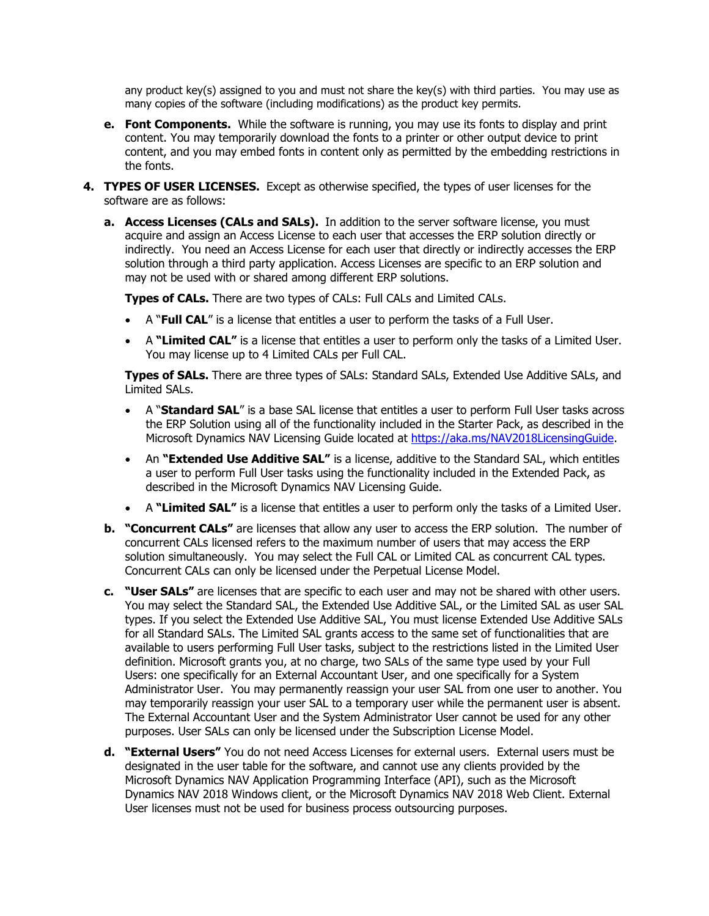any product key(s) assigned to you and must not share the key(s) with third parties. You may use as many copies of the software (including modifications) as the product key permits.

- **e. Font Components.** While the software is running, you may use its fonts to display and print content. You may temporarily download the fonts to a printer or other output device to print content, and you may embed fonts in content only as permitted by the embedding restrictions in the fonts.
- **4. TYPES OF USER LICENSES.** Except as otherwise specified, the types of user licenses for the software are as follows:
	- **a. Access Licenses (CALs and SALs).** In addition to the server software license, you must acquire and assign an Access License to each user that accesses the ERP solution directly or indirectly. You need an Access License for each user that directly or indirectly accesses the ERP solution through a third party application. Access Licenses are specific to an ERP solution and may not be used with or shared among different ERP solutions.

**Types of CALs.** There are two types of CALs: Full CALs and Limited CALs.

- A "**Full CAL**" is a license that entitles a user to perform the tasks of a Full User.
- A **"Limited CAL"** is a license that entitles a user to perform only the tasks of a Limited User. You may license up to 4 Limited CALs per Full CAL.

**Types of SALs.** There are three types of SALs: Standard SALs, Extended Use Additive SALs, and Limited SALs.

- A "**Standard SAL**" is a base SAL license that entitles a user to perform Full User tasks across the ERP Solution using all of the functionality included in the Starter Pack, as described in the Microsoft Dynamics NAV Licensing Guide located at [https://aka.ms/NAV2018LicensingGuide.](https://mbs.microsoft.com/Files/partner/All_Products/PriceOrder/Licensing_Policies/MicrosoftDynamicsNAV2018LicensingGuide.pdf)
- An **"Extended Use Additive SAL"** is a license, additive to the Standard SAL, which entitles a user to perform Full User tasks using the functionality included in the Extended Pack, as described in the Microsoft Dynamics NAV Licensing Guide.
- A **"Limited SAL"** is a license that entitles a user to perform only the tasks of a Limited User.
- **b. "Concurrent CALs"** are licenses that allow any user to access the ERP solution. The number of concurrent CALs licensed refers to the maximum number of users that may access the ERP solution simultaneously. You may select the Full CAL or Limited CAL as concurrent CAL types. Concurrent CALs can only be licensed under the Perpetual License Model.
- **c. "User SALs"** are licenses that are specific to each user and may not be shared with other users. You may select the Standard SAL, the Extended Use Additive SAL, or the Limited SAL as user SAL types. If you select the Extended Use Additive SAL, You must license Extended Use Additive SALs for all Standard SALs. The Limited SAL grants access to the same set of functionalities that are available to users performing Full User tasks, subject to the restrictions listed in the Limited User definition. Microsoft grants you, at no charge, two SALs of the same type used by your Full Users: one specifically for an External Accountant User, and one specifically for a System Administrator User. You may permanently reassign your user SAL from one user to another. You may temporarily reassign your user SAL to a temporary user while the permanent user is absent. The External Accountant User and the System Administrator User cannot be used for any other purposes. User SALs can only be licensed under the Subscription License Model.
- **d. "External Users"** You do not need Access Licenses for external users. External users must be designated in the user table for the software, and cannot use any clients provided by the Microsoft Dynamics NAV Application Programming Interface (API), such as the Microsoft Dynamics NAV 2018 Windows client, or the Microsoft Dynamics NAV 2018 Web Client. External User licenses must not be used for business process outsourcing purposes.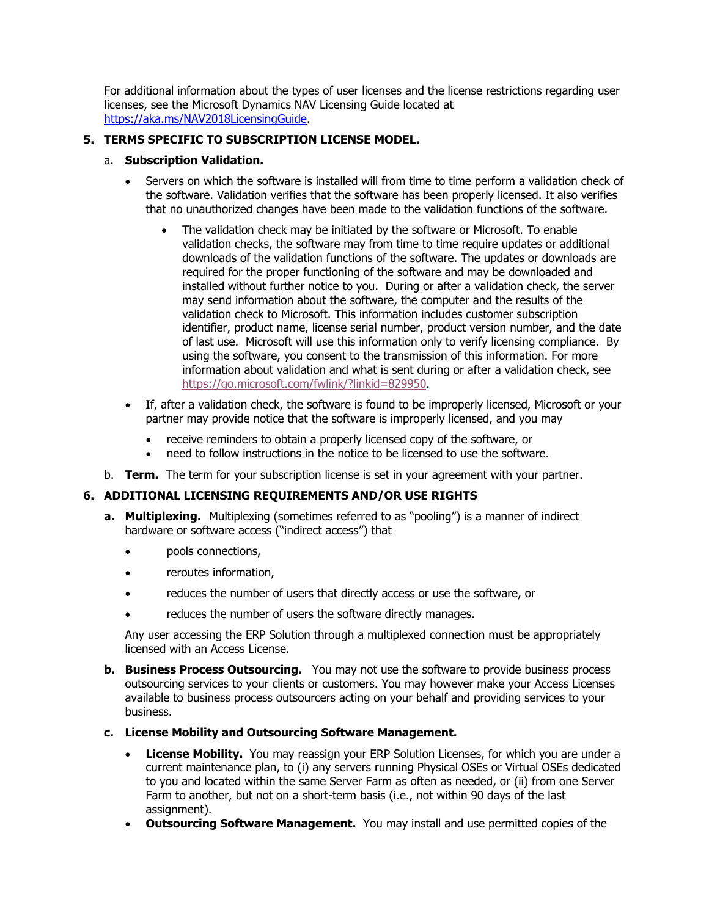For additional information about the types of user licenses and the license restrictions regarding user licenses, see the Microsoft Dynamics NAV Licensing Guide located at [https://aka.ms/NAV2018LicensingGuide.](https://mbs.microsoft.com/Files/partner/All_Products/PriceOrder/Licensing_Policies/MicrosoftDynamicsNAV2018LicensingGuide.pdf)

# **5. TERMS SPECIFIC TO SUBSCRIPTION LICENSE MODEL.**

## a. **Subscription Validation.**

- Servers on which the software is installed will from time to time perform a validation check of the software. Validation verifies that the software has been properly licensed. It also verifies that no unauthorized changes have been made to the validation functions of the software.
	- The validation check may be initiated by the software or Microsoft. To enable validation checks, the software may from time to time require updates or additional downloads of the validation functions of the software. The updates or downloads are required for the proper functioning of the software and may be downloaded and installed without further notice to you. During or after a validation check, the server may send information about the software, the computer and the results of the validation check to Microsoft. This information includes customer subscription identifier, product name, license serial number, product version number, and the date of last use. Microsoft will use this information only to verify licensing compliance. By using the software, you consent to the transmission of this information. For more information about validation and what is sent during or after a validation check, see [https://go.microsoft.com/fwlink/?linkid=829950.](https://go.microsoft.com/fwlink/?linkid=829950)
- If, after a validation check, the software is found to be improperly licensed, Microsoft or your partner may provide notice that the software is improperly licensed, and you may
	- receive reminders to obtain a properly licensed copy of the software, or
	- need to follow instructions in the notice to be licensed to use the software.
- b. **Term.** The term for your subscription license is set in your agreement with your partner.

## **6. ADDITIONAL LICENSING REQUIREMENTS AND/OR USE RIGHTS**

- **a. Multiplexing.** Multiplexing (sometimes referred to as "pooling") is a manner of indirect hardware or software access ("indirect access") that
	- pools connections,
	- reroutes information,
	- reduces the number of users that directly access or use the software, or
	- reduces the number of users the software directly manages.

Any user accessing the ERP Solution through a multiplexed connection must be appropriately licensed with an Access License.

**b. Business Process Outsourcing.** You may not use the software to provide business process outsourcing services to your clients or customers. You may however make your Access Licenses available to business process outsourcers acting on your behalf and providing services to your business.

## **c. License Mobility and Outsourcing Software Management.**

- **License Mobility.** You may reassign your ERP Solution Licenses, for which you are under a current maintenance plan, to (i) any servers running Physical OSEs or Virtual OSEs dedicated to you and located within the same Server Farm as often as needed, or (ii) from one Server Farm to another, but not on a short-term basis (i.e., not within 90 days of the last assignment).
- **Outsourcing Software Management.** You may install and use permitted copies of the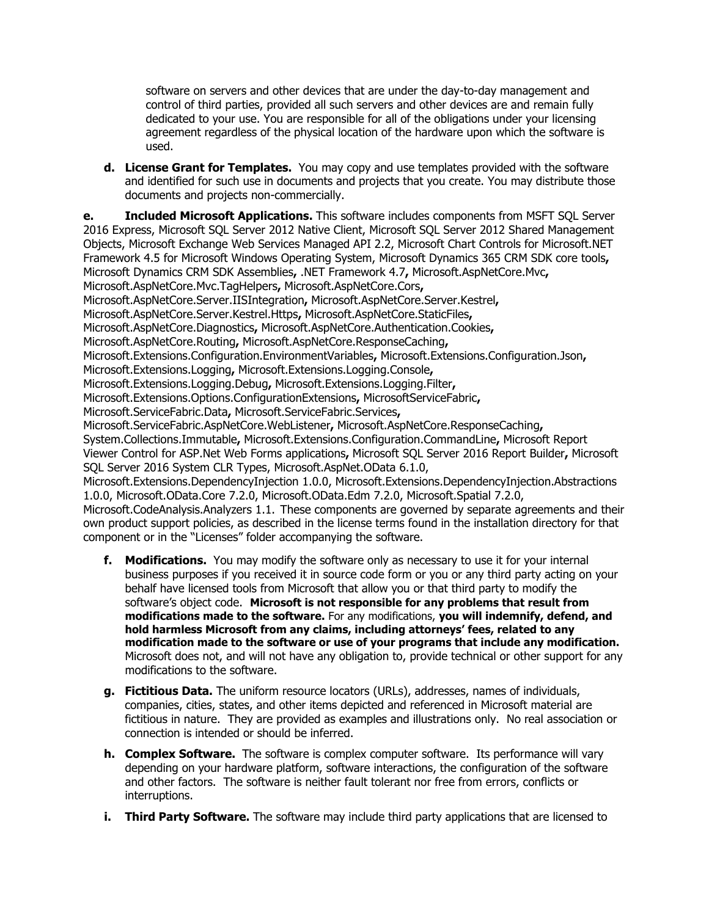software on servers and other devices that are under the day-to-day management and control of third parties, provided all such servers and other devices are and remain fully dedicated to your use. You are responsible for all of the obligations under your licensing agreement regardless of the physical location of the hardware upon which the software is used.

**d. License Grant for Templates.** You may copy and use templates provided with the software and identified for such use in documents and projects that you create. You may distribute those documents and projects non-commercially.

**e. Included Microsoft Applications.** This software includes components from MSFT SQL Server 2016 Express, Microsoft SQL Server 2012 Native Client, Microsoft SQL Server 2012 Shared Management Objects, Microsoft Exchange Web Services Managed API 2.2, Microsoft Chart Controls for Microsoft.NET Framework 4.5 for Microsoft Windows Operating System, Microsoft Dynamics 365 CRM SDK core tools**,**  Microsoft Dynamics CRM SDK Assemblies**,** .NET Framework 4.7**,** Microsoft.AspNetCore.Mvc**,**  Microsoft.AspNetCore.Mvc.TagHelpers**,** Microsoft.AspNetCore.Cors**,**  Microsoft.AspNetCore.Server.IISIntegration**,** Microsoft.AspNetCore.Server.Kestrel**,**  Microsoft.AspNetCore.Server.Kestrel.Https**,** Microsoft.AspNetCore.StaticFiles**,**  Microsoft.AspNetCore.Diagnostics**,** Microsoft.AspNetCore.Authentication.Cookies**,**  Microsoft.AspNetCore.Routing**,** Microsoft.AspNetCore.ResponseCaching**,**  Microsoft.Extensions.Configuration.EnvironmentVariables**,** Microsoft.Extensions.Configuration.Json**,**  Microsoft.Extensions.Logging**,** Microsoft.Extensions.Logging.Console**,**  Microsoft.Extensions.Logging.Debug**,** Microsoft.Extensions.Logging.Filter**,**  Microsoft.Extensions.Options.ConfigurationExtensions**,** MicrosoftServiceFabric**,**  Microsoft.ServiceFabric.Data**,** Microsoft.ServiceFabric.Services**,**  Microsoft.ServiceFabric.AspNetCore.WebListener**,** Microsoft.AspNetCore.ResponseCaching**,**  System.Collections.Immutable**,** Microsoft.Extensions.Configuration.CommandLine**,** Microsoft Report Viewer Control for ASP.Net Web Forms applications**,** Microsoft SQL Server 2016 Report Builder**,** Microsoft SQL Server 2016 System CLR Types, Microsoft.AspNet.OData 6.1.0, Microsoft.Extensions.DependencyInjection 1.0.0, Microsoft.Extensions.DependencyInjection.Abstractions 1.0.0, Microsoft.OData.Core 7.2.0, Microsoft.OData.Edm 7.2.0, Microsoft.Spatial 7.2.0, Microsoft.CodeAnalysis.Analyzers 1.1. These components are governed by separate agreements and their own product support policies, as described in the license terms found in the installation directory for that component or in the "Licenses" folder accompanying the software.

- **f. Modifications.** You may modify the software only as necessary to use it for your internal business purposes if you received it in source code form or you or any third party acting on your behalf have licensed tools from Microsoft that allow you or that third party to modify the software's object code. **Microsoft is not responsible for any problems that result from modifications made to the software.** For any modifications, **you will indemnify, defend, and hold harmless Microsoft from any claims, including attorneys' fees, related to any modification made to the software or use of your programs that include any modification.** Microsoft does not, and will not have any obligation to, provide technical or other support for any modifications to the software.
- **g. Fictitious Data.** The uniform resource locators (URLs), addresses, names of individuals, companies, cities, states, and other items depicted and referenced in Microsoft material are fictitious in nature. They are provided as examples and illustrations only. No real association or connection is intended or should be inferred.
- **h. Complex Software.** The software is complex computer software. Its performance will vary depending on your hardware platform, software interactions, the configuration of the software and other factors. The software is neither fault tolerant nor free from errors, conflicts or interruptions.
- **i. Third Party Software.** The software may include third party applications that are licensed to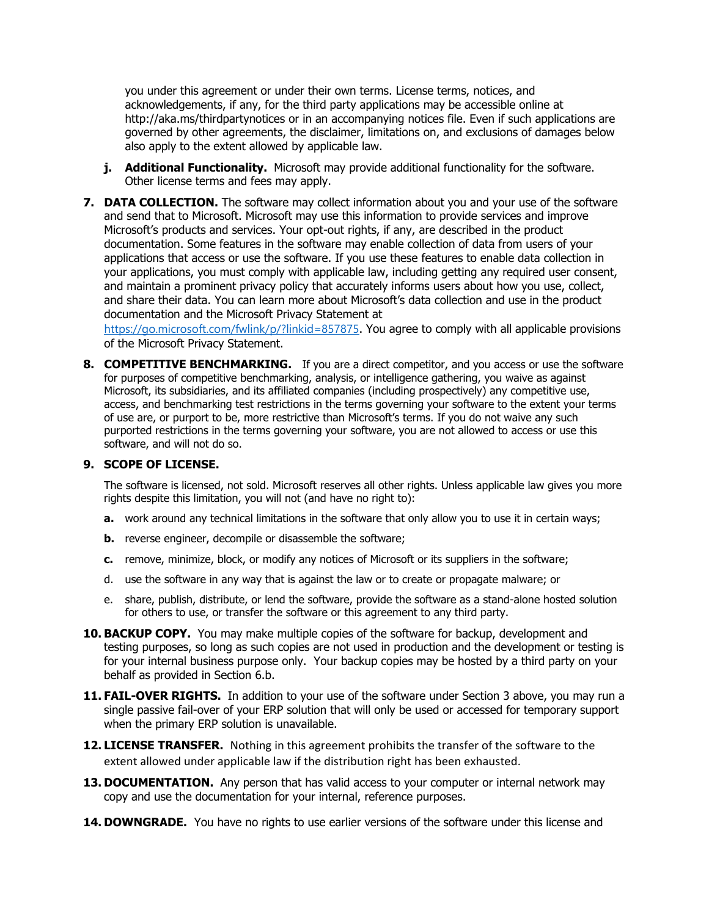you under this agreement or under their own terms. License terms, notices, and acknowledgements, if any, for the third party applications may be accessible online at http://aka.ms/thirdpartynotices or in an accompanying notices file. Even if such applications are governed by other agreements, the disclaimer, limitations on, and exclusions of damages below also apply to the extent allowed by applicable law.

- **j.** Additional Functionality. Microsoft may provide additional functionality for the software. Other license terms and fees may apply.
- **7. DATA COLLECTION.** The software may collect information about you and your use of the software and send that to Microsoft. Microsoft may use this information to provide services and improve Microsoft's products and services. Your opt-out rights, if any, are described in the product documentation. Some features in the software may enable collection of data from users of your applications that access or use the software. If you use these features to enable data collection in your applications, you must comply with applicable law, including getting any required user consent, and maintain a prominent privacy policy that accurately informs users about how you use, collect, and share their data. You can learn more about Microsoft's data collection and use in the product documentation and the Microsoft Privacy Statement at

<https://go.microsoft.com/fwlink/p/?linkid=857875>. You agree to comply with all applicable provisions of the Microsoft Privacy Statement.

**8. COMPETITIVE BENCHMARKING.** If you are a direct competitor, and you access or use the software for purposes of competitive benchmarking, analysis, or intelligence gathering, you waive as against Microsoft, its subsidiaries, and its affiliated companies (including prospectively) any competitive use, access, and benchmarking test restrictions in the terms governing your software to the extent your terms of use are, or purport to be, more restrictive than Microsoft's terms. If you do not waive any such purported restrictions in the terms governing your software, you are not allowed to access or use this software, and will not do so.

#### **9. SCOPE OF LICENSE.**

The software is licensed, not sold. Microsoft reserves all other rights. Unless applicable law gives you more rights despite this limitation, you will not (and have no right to):

- **a.** work around any technical limitations in the software that only allow you to use it in certain ways;
- **b.** reverse engineer, decompile or disassemble the software;
- **c.** remove, minimize, block, or modify any notices of Microsoft or its suppliers in the software;
- d. use the software in any way that is against the law or to create or propagate malware; or
- e. share, publish, distribute, or lend the software, provide the software as a stand-alone hosted solution for others to use, or transfer the software or this agreement to any third party.
- **10. BACKUP COPY.** You may make multiple copies of the software for backup, development and testing purposes, so long as such copies are not used in production and the development or testing is for your internal business purpose only. Your backup copies may be hosted by a third party on your behalf as provided in Section 6.b.
- **11. FAIL-OVER RIGHTS.** In addition to your use of the software under Section 3 above, you may run a single passive fail-over of your ERP solution that will only be used or accessed for temporary support when the primary ERP solution is unavailable.
- **12. LICENSE TRANSFER.** Nothing in this agreement prohibits the transfer of the software to the extent allowed under applicable law if the distribution right has been exhausted.
- **13. DOCUMENTATION.** Any person that has valid access to your computer or internal network may copy and use the documentation for your internal, reference purposes.
- **14. DOWNGRADE.** You have no rights to use earlier versions of the software under this license and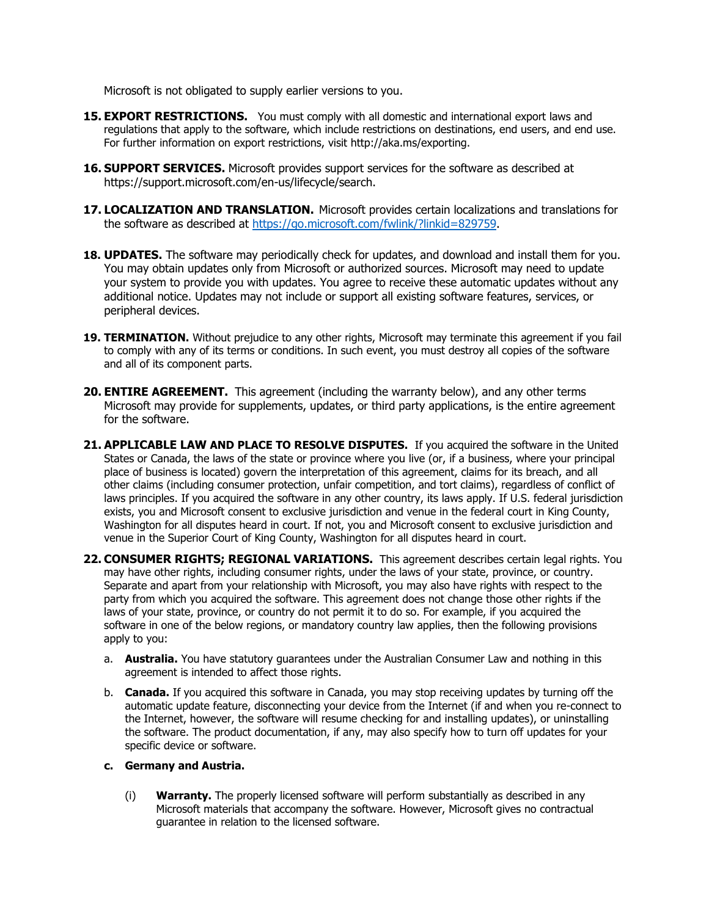Microsoft is not obligated to supply earlier versions to you.

- **15. EXPORT RESTRICTIONS.** You must comply with all domestic and international export laws and regulations that apply to the software, which include restrictions on destinations, end users, and end use. For further information on export restrictions, visit http://aka.ms/exporting.
- **16. SUPPORT SERVICES.** Microsoft provides support services for the software as described at https://support.microsoft.com/en-us/lifecycle/search.
- **17. LOCALIZATION AND TRANSLATION.** Microsoft provides certain localizations and translations for the software as described at [https://go.microsoft.com/fwlink/?linkid=829759.](https://go.microsoft.com/fwlink/?linkid=829759)
- **18. UPDATES.** The software may periodically check for updates, and download and install them for you. You may obtain updates only from Microsoft or authorized sources. Microsoft may need to update your system to provide you with updates. You agree to receive these automatic updates without any additional notice. Updates may not include or support all existing software features, services, or peripheral devices.
- **19. TERMINATION.** Without prejudice to any other rights, Microsoft may terminate this agreement if you fail to comply with any of its terms or conditions. In such event, you must destroy all copies of the software and all of its component parts.
- **20. ENTIRE AGREEMENT.** This agreement (including the warranty below), and any other terms Microsoft may provide for supplements, updates, or third party applications, is the entire agreement for the software.
- **21. APPLICABLE LAW AND PLACE TO RESOLVE DISPUTES.** If you acquired the software in the United States or Canada, the laws of the state or province where you live (or, if a business, where your principal place of business is located) govern the interpretation of this agreement, claims for its breach, and all other claims (including consumer protection, unfair competition, and tort claims), regardless of conflict of laws principles. If you acquired the software in any other country, its laws apply. If U.S. federal jurisdiction exists, you and Microsoft consent to exclusive jurisdiction and venue in the federal court in King County, Washington for all disputes heard in court. If not, you and Microsoft consent to exclusive jurisdiction and venue in the Superior Court of King County, Washington for all disputes heard in court.
- **22. CONSUMER RIGHTS; REGIONAL VARIATIONS.** This agreement describes certain legal rights. You may have other rights, including consumer rights, under the laws of your state, province, or country. Separate and apart from your relationship with Microsoft, you may also have rights with respect to the party from which you acquired the software. This agreement does not change those other rights if the laws of your state, province, or country do not permit it to do so. For example, if you acquired the software in one of the below regions, or mandatory country law applies, then the following provisions apply to you:
	- a. **Australia.** You have statutory guarantees under the Australian Consumer Law and nothing in this agreement is intended to affect those rights.
	- b. **Canada.** If you acquired this software in Canada, you may stop receiving updates by turning off the automatic update feature, disconnecting your device from the Internet (if and when you re-connect to the Internet, however, the software will resume checking for and installing updates), or uninstalling the software. The product documentation, if any, may also specify how to turn off updates for your specific device or software.
	- **c. Germany and Austria.**
		- (i) **Warranty.** The properly licensed software will perform substantially as described in any Microsoft materials that accompany the software. However, Microsoft gives no contractual guarantee in relation to the licensed software.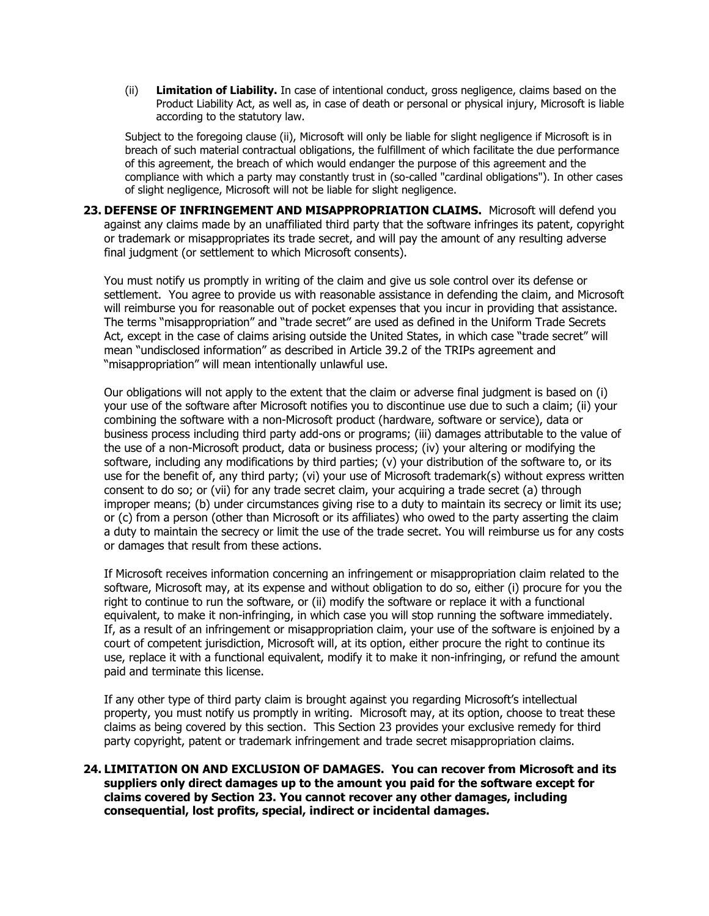(ii) **Limitation of Liability.** In case of intentional conduct, gross negligence, claims based on the Product Liability Act, as well as, in case of death or personal or physical injury, Microsoft is liable according to the statutory law.

Subject to the foregoing clause (ii), Microsoft will only be liable for slight negligence if Microsoft is in breach of such material contractual obligations, the fulfillment of which facilitate the due performance of this agreement, the breach of which would endanger the purpose of this agreement and the compliance with which a party may constantly trust in (so-called "cardinal obligations"). In other cases of slight negligence, Microsoft will not be liable for slight negligence.

**23. DEFENSE OF INFRINGEMENT AND MISAPPROPRIATION CLAIMS.** Microsoft will defend you against any claims made by an unaffiliated third party that the software infringes its patent, copyright or trademark or misappropriates its trade secret, and will pay the amount of any resulting adverse final judgment (or settlement to which Microsoft consents).

You must notify us promptly in writing of the claim and give us sole control over its defense or settlement. You agree to provide us with reasonable assistance in defending the claim, and Microsoft will reimburse you for reasonable out of pocket expenses that you incur in providing that assistance. The terms "misappropriation" and "trade secret" are used as defined in the Uniform Trade Secrets Act, except in the case of claims arising outside the United States, in which case "trade secret" will mean "undisclosed information" as described in Article 39.2 of the TRIPs agreement and "misappropriation" will mean intentionally unlawful use.

Our obligations will not apply to the extent that the claim or adverse final judgment is based on (i) your use of the software after Microsoft notifies you to discontinue use due to such a claim; (ii) your combining the software with a non-Microsoft product (hardware, software or service), data or business process including third party add-ons or programs; (iii) damages attributable to the value of the use of a non-Microsoft product, data or business process; (iv) your altering or modifying the software, including any modifications by third parties; (v) your distribution of the software to, or its use for the benefit of, any third party; (vi) your use of Microsoft trademark(s) without express written consent to do so; or (vii) for any trade secret claim, your acquiring a trade secret (a) through improper means; (b) under circumstances giving rise to a duty to maintain its secrecy or limit its use; or (c) from a person (other than Microsoft or its affiliates) who owed to the party asserting the claim a duty to maintain the secrecy or limit the use of the trade secret. You will reimburse us for any costs or damages that result from these actions.

If Microsoft receives information concerning an infringement or misappropriation claim related to the software, Microsoft may, at its expense and without obligation to do so, either (i) procure for you the right to continue to run the software, or (ii) modify the software or replace it with a functional equivalent, to make it non-infringing, in which case you will stop running the software immediately. If, as a result of an infringement or misappropriation claim, your use of the software is enjoined by a court of competent jurisdiction, Microsoft will, at its option, either procure the right to continue its use, replace it with a functional equivalent, modify it to make it non-infringing, or refund the amount paid and terminate this license.

If any other type of third party claim is brought against you regarding Microsoft's intellectual property, you must notify us promptly in writing. Microsoft may, at its option, choose to treat these claims as being covered by this section. This Section 23 provides your exclusive remedy for third party copyright, patent or trademark infringement and trade secret misappropriation claims.

**24. LIMITATION ON AND EXCLUSION OF DAMAGES. You can recover from Microsoft and its suppliers only direct damages up to the amount you paid for the software except for claims covered by Section 23. You cannot recover any other damages, including consequential, lost profits, special, indirect or incidental damages.**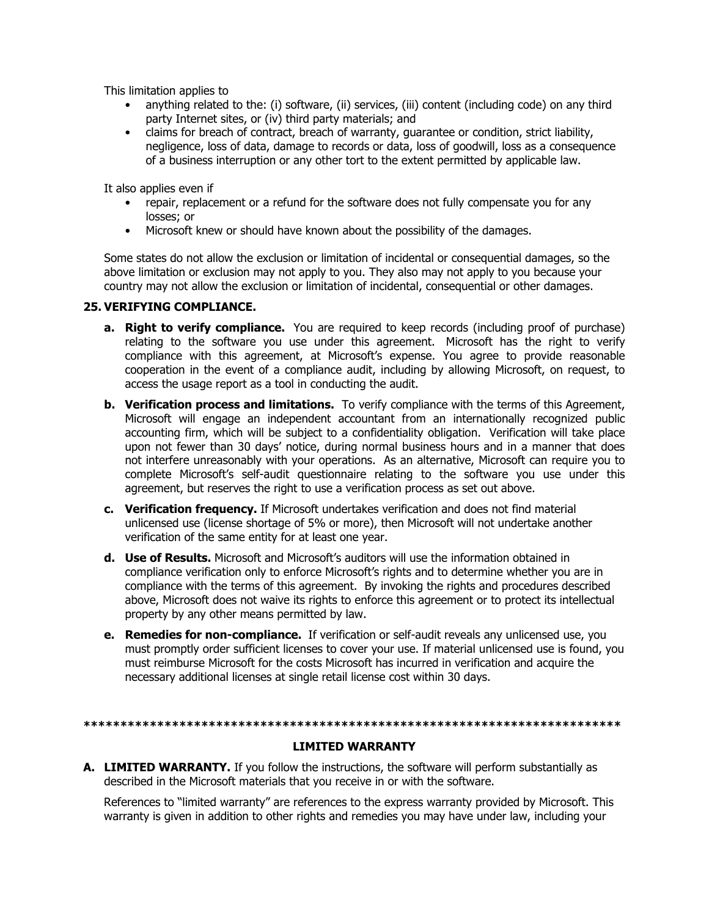This limitation applies to

- anything related to the: (i) software, (ii) services, (iii) content (including code) on any third party Internet sites, or (iv) third party materials; and
- claims for breach of contract, breach of warranty, guarantee or condition, strict liability, negligence, loss of data, damage to records or data, loss of goodwill, loss as a consequence of a business interruption or any other tort to the extent permitted by applicable law.

It also applies even if

- repair, replacement or a refund for the software does not fully compensate you for any losses; or
- Microsoft knew or should have known about the possibility of the damages.

Some states do not allow the exclusion or limitation of incidental or consequential damages, so the above limitation or exclusion may not apply to you. They also may not apply to you because your country may not allow the exclusion or limitation of incidental, consequential or other damages.

## **25. VERIFYING COMPLIANCE.**

- **a. Right to verify compliance.** You are required to keep records (including proof of purchase) relating to the software you use under this agreement. Microsoft has the right to verify compliance with this agreement, at Microsoft's expense. You agree to provide reasonable cooperation in the event of a compliance audit, including by allowing Microsoft, on request, to access the usage report as a tool in conducting the audit.
- **b.** Verification process and limitations. To verify compliance with the terms of this Agreement, Microsoft will engage an independent accountant from an internationally recognized public accounting firm, which will be subject to a confidentiality obligation. Verification will take place upon not fewer than 30 days' notice, during normal business hours and in a manner that does not interfere unreasonably with your operations. As an alternative, Microsoft can require you to complete Microsoft's self-audit questionnaire relating to the software you use under this agreement, but reserves the right to use a verification process as set out above.
- **c. Verification frequency.** If Microsoft undertakes verification and does not find material unlicensed use (license shortage of 5% or more), then Microsoft will not undertake another verification of the same entity for at least one year.
- **d. Use of Results.** Microsoft and Microsoft's auditors will use the information obtained in compliance verification only to enforce Microsoft's rights and to determine whether you are in compliance with the terms of this agreement. By invoking the rights and procedures described above, Microsoft does not waive its rights to enforce this agreement or to protect its intellectual property by any other means permitted by law.
- **e. Remedies for non-compliance.** If verification or self-audit reveals any unlicensed use, you must promptly order sufficient licenses to cover your use. If material unlicensed use is found, you must reimburse Microsoft for the costs Microsoft has incurred in verification and acquire the necessary additional licenses at single retail license cost within 30 days.

#### **\*\*\*\*\*\*\*\*\*\*\*\*\*\*\*\*\*\*\*\*\*\*\*\*\*\*\*\*\*\*\*\*\*\*\*\*\*\*\*\*\*\*\*\*\*\*\*\*\*\*\*\*\*\*\*\*\*\*\*\*\*\*\*\*\*\*\*\*\*\*\*\*\***

#### **LIMITED WARRANTY**

**A. LIMITED WARRANTY.** If you follow the instructions, the software will perform substantially as described in the Microsoft materials that you receive in or with the software.

References to "limited warranty" are references to the express warranty provided by Microsoft. This warranty is given in addition to other rights and remedies you may have under law, including your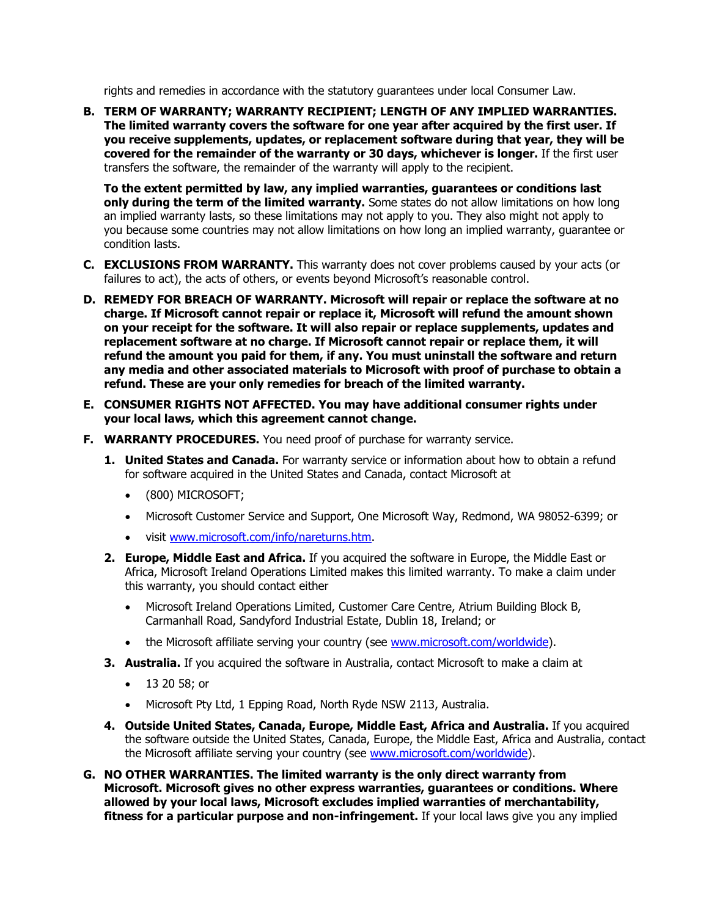rights and remedies in accordance with the statutory guarantees under local Consumer Law.

**B. TERM OF WARRANTY; WARRANTY RECIPIENT; LENGTH OF ANY IMPLIED WARRANTIES. The limited warranty covers the software for one year after acquired by the first user. If you receive supplements, updates, or replacement software during that year, they will be covered for the remainder of the warranty or 30 days, whichever is longer.** If the first user transfers the software, the remainder of the warranty will apply to the recipient.

**To the extent permitted by law, any implied warranties, guarantees or conditions last only during the term of the limited warranty.** Some states do not allow limitations on how long an implied warranty lasts, so these limitations may not apply to you. They also might not apply to you because some countries may not allow limitations on how long an implied warranty, guarantee or condition lasts.

- **C. EXCLUSIONS FROM WARRANTY.** This warranty does not cover problems caused by your acts (or failures to act), the acts of others, or events beyond Microsoft's reasonable control.
- **D. REMEDY FOR BREACH OF WARRANTY. Microsoft will repair or replace the software at no charge. If Microsoft cannot repair or replace it, Microsoft will refund the amount shown on your receipt for the software. It will also repair or replace supplements, updates and replacement software at no charge. If Microsoft cannot repair or replace them, it will refund the amount you paid for them, if any. You must uninstall the software and return any media and other associated materials to Microsoft with proof of purchase to obtain a refund. These are your only remedies for breach of the limited warranty.**
- **E. CONSUMER RIGHTS NOT AFFECTED. You may have additional consumer rights under your local laws, which this agreement cannot change.**
- **F. WARRANTY PROCEDURES.** You need proof of purchase for warranty service.
	- **1. United States and Canada.** For warranty service or information about how to obtain a refund for software acquired in the United States and Canada, contact Microsoft at
		- (800) MICROSOFT;
		- Microsoft Customer Service and Support, One Microsoft Way, Redmond, WA 98052-6399; or
		- visit www.microsoft.com/info/nareturns.htm.
	- **2. Europe, Middle East and Africa.** If you acquired the software in Europe, the Middle East or Africa, Microsoft Ireland Operations Limited makes this limited warranty. To make a claim under this warranty, you should contact either
		- Microsoft Ireland Operations Limited, Customer Care Centre, Atrium Building Block B, Carmanhall Road, Sandyford Industrial Estate, Dublin 18, Ireland; or
		- the Microsoft affiliate serving your country (see www.microsoft.com/worldwide).
	- **3. Australia.** If you acquired the software in Australia, contact Microsoft to make a claim at
		- 13 20 58; or
		- Microsoft Pty Ltd, 1 Epping Road, North Ryde NSW 2113, Australia.
	- **4. Outside United States, Canada, Europe, Middle East, Africa and Australia.** If you acquired the software outside the United States, Canada, Europe, the Middle East, Africa and Australia, contact the Microsoft affiliate serving your country (see www.microsoft.com/worldwide).
- **G. NO OTHER WARRANTIES. The limited warranty is the only direct warranty from Microsoft. Microsoft gives no other express warranties, guarantees or conditions. Where allowed by your local laws, Microsoft excludes implied warranties of merchantability, fitness for a particular purpose and non-infringement.** If your local laws give you any implied